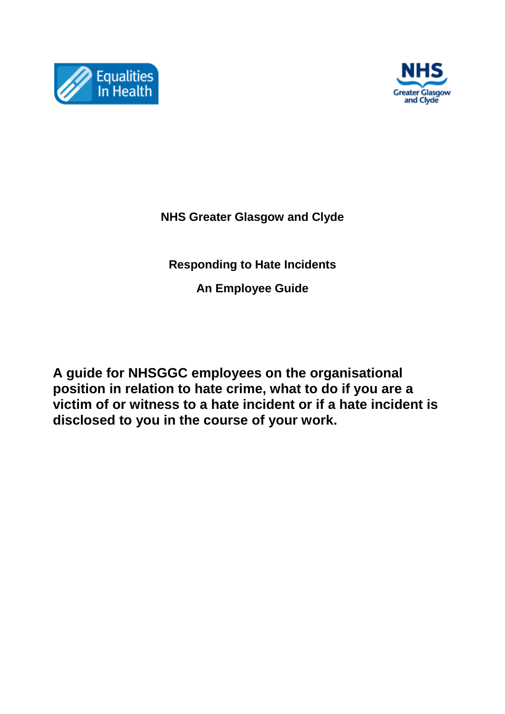



**NHS Greater Glasgow and Clyde**

**Responding to Hate Incidents**

**An Employee Guide**

**A guide for NHSGGC employees on the organisational position in relation to hate crime, what to do if you are a victim of or witness to a hate incident or if a hate incident is disclosed to you in the course of your work.**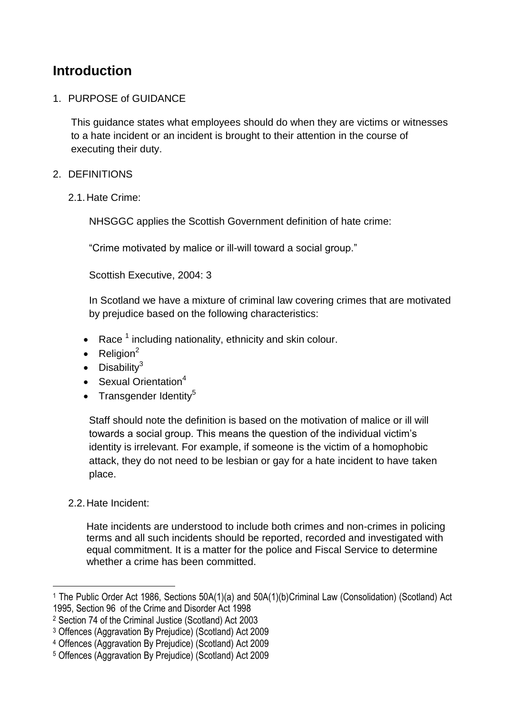# **Introduction**

## 1. PURPOSE of GUIDANCE

This guidance states what employees should do when they are victims or witnesses to a hate incident or an incident is brought to their attention in the course of executing their duty.

## 2. DEFINITIONS

2.1.Hate Crime:

NHSGGC applies the Scottish Government definition of hate crime:

"Crime motivated by malice or ill-will toward a social group."

Scottish Executive, 2004: 3

In Scotland we have a mixture of criminal law covering crimes that are motivated by prejudice based on the following characteristics:

- Race  $^1$  including nationality, ethnicity and skin colour.
- $\bullet$  Religion<sup>2</sup>
- $\bullet$  Disability<sup>3</sup>
- Sexual Orientation $4$
- Transgender Identity<sup>5</sup>

Staff should note the definition is based on the motivation of malice or ill will towards a social group. This means the question of the individual victim's identity is irrelevant. For example, if someone is the victim of a homophobic attack, they do not need to be lesbian or gay for a hate incident to have taken place.

## 2.2.Hate Incident:

 $\overline{a}$ 

Hate incidents are understood to include both crimes and non-crimes in policing terms and all such incidents should be reported, recorded and investigated with equal commitment. It is a matter for the police and Fiscal Service to determine whether a crime has been committed.

<sup>1</sup> The Public Order Act 1986, Sections 50A(1)(a) and 50A(1)(b)Criminal Law (Consolidation) (Scotland) Act 1995, Section 96 of the Crime and Disorder Act 1998

<sup>2</sup> Section 74 of the Criminal Justice (Scotland) Act 2003

<sup>3</sup> Offences (Aggravation By Prejudice) (Scotland) Act 2009

<sup>4</sup> Offences (Aggravation By Prejudice) (Scotland) Act 2009

<sup>5</sup> Offences (Aggravation By Prejudice) (Scotland) Act 2009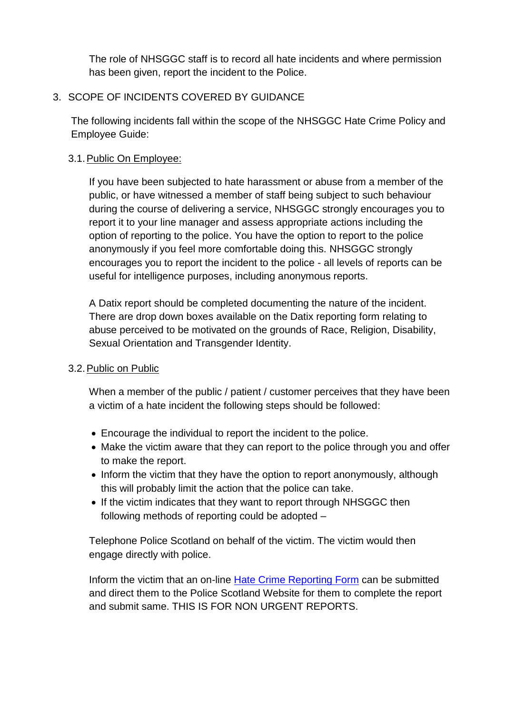The role of NHSGGC staff is to record all hate incidents and where permission has been given, report the incident to the Police.

## 3. SCOPE OF INCIDENTS COVERED BY GUIDANCE

The following incidents fall within the scope of the NHSGGC Hate Crime Policy and Employee Guide:

## 3.1.Public On Employee:

If you have been subjected to hate harassment or abuse from a member of the public, or have witnessed a member of staff being subject to such behaviour during the course of delivering a service, NHSGGC strongly encourages you to report it to your line manager and assess appropriate actions including the option of reporting to the police. You have the option to report to the police anonymously if you feel more comfortable doing this. NHSGGC strongly encourages you to report the incident to the police - all levels of reports can be useful for intelligence purposes, including anonymous reports.

A Datix report should be completed documenting the nature of the incident. There are drop down boxes available on the Datix reporting form relating to abuse perceived to be motivated on the grounds of Race, Religion, Disability, Sexual Orientation and Transgender Identity.

#### 3.2.Public on Public

When a member of the public / patient / customer perceives that they have been a victim of a hate incident the following steps should be followed:

- Encourage the individual to report the incident to the police.
- Make the victim aware that they can report to the police through you and offer to make the report.
- Inform the victim that they have the option to report anonymously, although this will probably limit the action that the police can take.
- If the victim indicates that they want to report through NHSGGC then following methods of reporting could be adopted –

Telephone Police Scotland on behalf of the victim. The victim would then engage directly with police.

Inform the victim that an on-line [Hate Crime Reporting Form](http://report-it.org.uk/your_police_force) can be submitted and direct them to the Police Scotland Website for them to complete the report and submit same. THIS IS FOR NON URGENT REPORTS.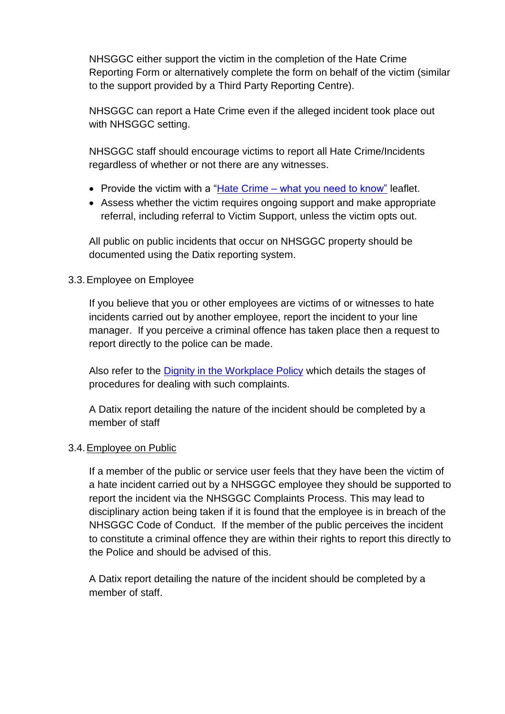NHSGGC either support the victim in the completion of the Hate Crime Reporting Form or alternatively complete the form on behalf of the victim (similar to the support provided by a Third Party Reporting Centre).

NHSGGC can report a Hate Crime even if the alleged incident took place out with NHSGGC setting.

NHSGGC staff should encourage victims to report all Hate Crime/Incidents regardless of whether or not there are any witnesses.

- Provide the victim with a "Hate Crime [what you need to know"](http://www.equalitiesinhealth.org/Link-Files/Hate-Crime-What-You-Need-to-Know-2012%5B1%5D.pdf) leaflet.
- Assess whether the victim requires ongoing support and make appropriate referral, including referral to Victim Support, unless the victim opts out.

All public on public incidents that occur on NHSGGC property should be documented using the Datix reporting system.

## 3.3.Employee on Employee

If you believe that you or other employees are victims of or witnesses to hate incidents carried out by another employee, report the incident to your line manager. If you perceive a criminal offence has taken place then a request to report directly to the police can be made.

Also refer to the [Dignity in the Workplace Policy](http://www.staffnet.ggc.scot.nhs.uk/Human%20Resources/Policies/Documents/DAW%20Policy%20%20Agreed%20June%202014.pdf) which details the stages of procedures for dealing with such complaints.

A Datix report detailing the nature of the incident should be completed by a member of staff

## 3.4.Employee on Public

If a member of the public or service user feels that they have been the victim of a hate incident carried out by a NHSGGC employee they should be supported to report the incident via the NHSGGC Complaints Process. This may lead to disciplinary action being taken if it is found that the employee is in breach of the NHSGGC Code of Conduct. If the member of the public perceives the incident to constitute a criminal offence they are within their rights to report this directly to the Police and should be advised of this.

A Datix report detailing the nature of the incident should be completed by a member of staff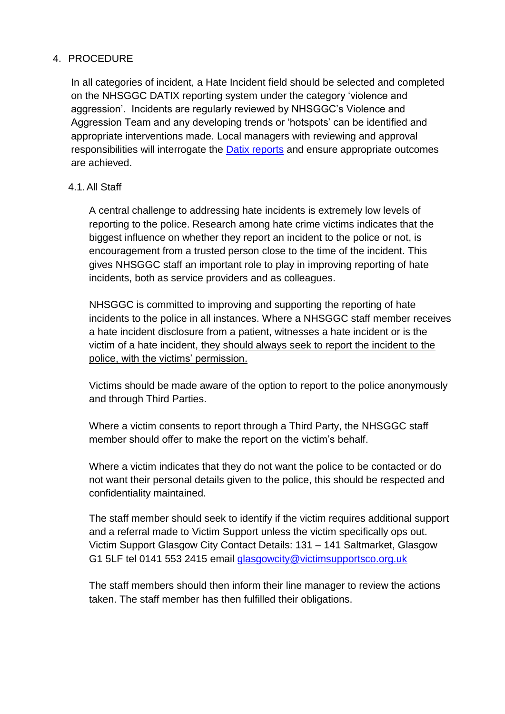### 4. PROCEDURE

In all categories of incident, a Hate Incident field should be selected and completed on the NHSGGC DATIX reporting system under the category 'violence and aggression'. Incidents are regularly reviewed by NHSGGC's Violence and Aggression Team and any developing trends or 'hotspots' can be identified and appropriate interventions made. Local managers with reviewing and approval responsibilities will interrogate the [Datix reports](http://www.staffnet.ggc.scot.nhs.uk/Applications/Datix/Pages/default.aspx) and ensure appropriate outcomes are achieved.

### 4.1.All Staff

A central challenge to addressing hate incidents is extremely low levels of reporting to the police. Research among hate crime victims indicates that the biggest influence on whether they report an incident to the police or not, is encouragement from a trusted person close to the time of the incident. This gives NHSGGC staff an important role to play in improving reporting of hate incidents, both as service providers and as colleagues.

NHSGGC is committed to improving and supporting the reporting of hate incidents to the police in all instances. Where a NHSGGC staff member receives a hate incident disclosure from a patient, witnesses a hate incident or is the victim of a hate incident, they should always seek to report the incident to the police, with the victims' permission.

Victims should be made aware of the option to report to the police anonymously and through Third Parties.

Where a victim consents to report through a Third Party, the NHSGGC staff member should offer to make the report on the victim's behalf.

Where a victim indicates that they do not want the police to be contacted or do not want their personal details given to the police, this should be respected and confidentiality maintained.

The staff member should seek to identify if the victim requires additional support and a referral made to Victim Support unless the victim specifically ops out. Victim Support Glasgow City Contact Details: 131 – 141 Saltmarket, Glasgow G1 5LF tel 0141 553 2415 email [glasgowcity@victimsupportsco.org.uk](mailto:glasgowcity@victimsupportsco.org.uk)

The staff members should then inform their line manager to review the actions taken. The staff member has then fulfilled their obligations.